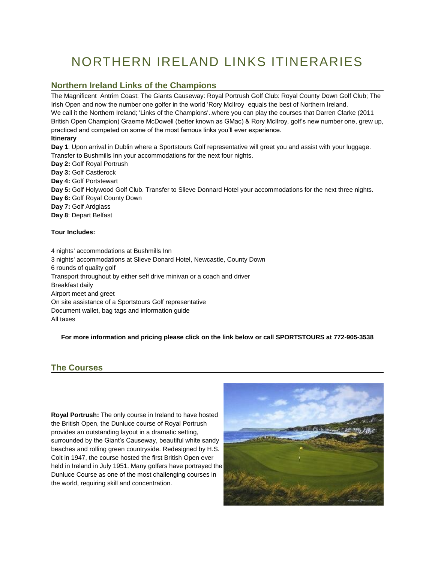# NORTHERN IRELAND LINKS ITINERARIES

## **Northern Ireland Links of the Champions**

The Magnificent Antrim Coast: The Giants Causeway: Royal Portrush Golf Club: Royal County Down Golf Club; The Irish Open and now the number one golfer in the world 'Rory McIlroy equals the best of Northern Ireland. We call it the Northern Ireland; 'Links of the Champions'..where you can play the courses that Darren Clarke (2011 British Open Champion) Graeme McDowell (better known as GMac) & Rory McIlroy, golf's new number one, grew up, practiced and competed on some of the most famous links you'll ever experience.

#### **Itinerary**

**Day 1**: Upon arrival in Dublin where a Sportstours Golf representative will greet you and assist with your luggage. Transfer to Bushmills Inn your accommodations for the next four nights.

**Day 2:** Golf Royal Portrush **Day 3:** Golf Castlerock **Day 4:** Golf Portstewart **Day 5:** Golf Holywood Golf Club. Transfer to Slieve Donnard Hotel your accommodations for the next three nights. **Day 6:** Golf Royal County Down **Day 7:** Golf Ardglass **Day 8**: Depart Belfast

#### **Tour Includes:**

 4 nights' accommodations at Bushmills Inn 3 nights' accommodations at Slieve Donard Hotel, Newcastle, County Down 6 rounds of quality golf Transport throughout by either self drive minivan or a coach and driver Breakfast daily Airport meet and greet On site assistance of a Sportstours Golf representative Document wallet, bag tags and information guide All taxes

**For more information and pricing please click on the link below or call SPORTSTOURS at 772-905-3538**

## **The Courses**

**Royal Portrush:** The only course in Ireland to have hosted the British Open, the Dunluce course of Royal Portrush provides an outstanding layout in a dramatic setting, surrounded by the Giant's Causeway, beautiful white sandy beaches and rolling green countryside. Redesigned by H.S. Colt in 1947, the course hosted the first British Open ever held in Ireland in July 1951. Many golfers have portrayed the Dunluce Course as one of the most challenging courses in the world, requiring skill and concentration.

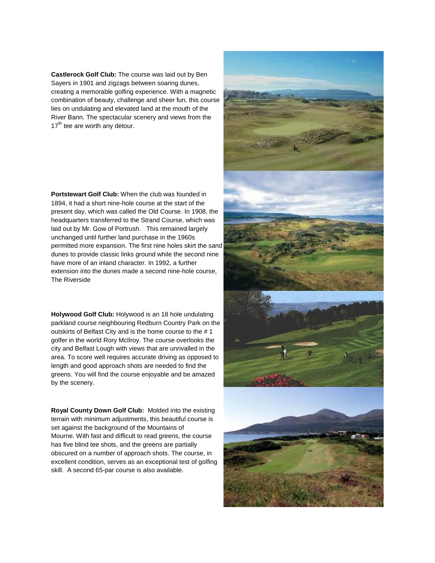**Castlerock Golf Club:** The course was laid out by Ben Sayers in 1901 and zigzags between soaring dunes, creating a memorable golfing experience. With a magnetic combination of beauty, challenge and sheer fun, this course lies on undulating and elevated land at the mouth of the River Bann. The spectacular scenery and views from the  $17<sup>th</sup>$  tee are worth any detour.

**Portstewart Golf Club:** When the club was founded in 1894, it had a short nine-hole course at the start of the present day, which was called the Old Course. In 1908, the headquarters transferred to the Strand Course, which was laid out by Mr. Gow of Portrush. This remained largely unchanged until further land purchase in the 1960s permitted more expansion. The first nine holes skirt the sand dunes to provide classic links ground while the second nine have more of an inland character. In 1992, a further extension into the dunes made a second nine-hole course, The Riverside

**Holywood Golf Club:** Holywood is an 18 hole undulating parkland course neighbouring Redburn Country Park on the outskirts of Belfast City and is the home course to the # 1 golfer in the world Rory McIlroy. The course overlooks the city and Belfast Lough with views that are unrivalled in the area. To score well requires accurate driving as opposed to length and good approach shots are needed to find the greens. You will find the course enjoyable and be amazed by the scenery.

**Royal County Down Golf Club:** Molded into the existing terrain with minimum adjustments, this beautiful course is set against the background of the Mountains of Mourne. With fast and difficult to read greens, the course has five blind tee shots, and the greens are partially obscured on a number of approach shots. The course, in excellent condition, serves as an exceptional test of golfing skill. A second 65-par course is also available.